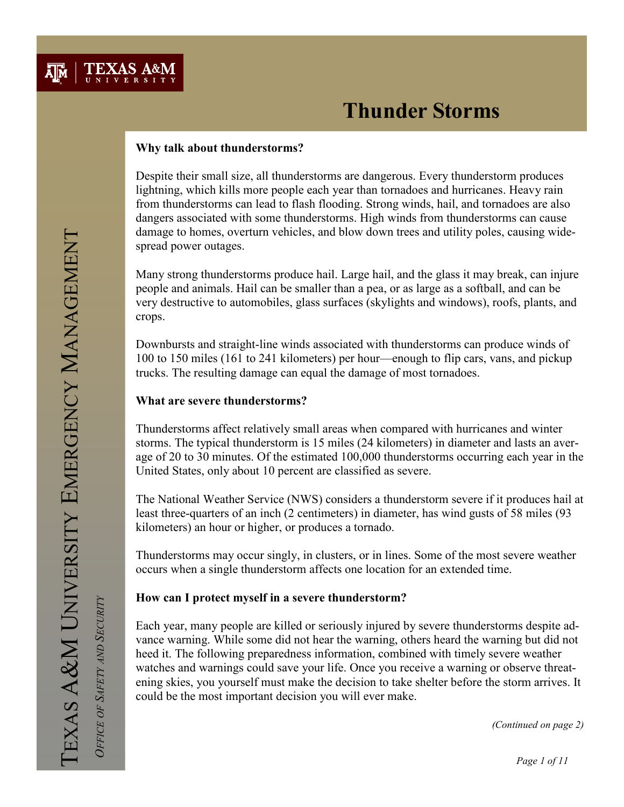

### Why talk about thunderstorms?

Despite their small size, all thunderstorms are dangerous. Every thunderstorm produces lightning, which kills more people each year than tornadoes and hurricanes. Heavy rain from thunderstorms can lead to flash flooding. Strong winds, hail, and tornadoes are also dangers associated with some thunderstorms. High winds from thunderstorms can cause damage to homes, overturn vehicles, and blow down trees and utility poles, causing widespread power outages.

Many strong thunderstorms produce hail. Large hail, and the glass it may break, can injure people and animals. Hail can be smaller than a pea, or as large as a softball, and can be very destructive to automobiles, glass surfaces (skylights and windows), roofs, plants, and crops.

Downbursts and straight-line winds associated with thunderstorms can produce winds of 100 to 150 miles (161 to 241 kilometers) per hour—enough to flip cars, vans, and pickup trucks. The resulting damage can equal the damage of most tornadoes.

### What are severe thunderstorms?

Thunderstorms affect relatively small areas when compared with hurricanes and winter storms. The typical thunderstorm is 15 miles (24 kilometers) in diameter and lasts an average of 20 to 30 minutes. Of the estimated 100,000 thunderstorms occurring each year in the United States, only about 10 percent are classified as severe.

The National Weather Service (NWS) considers a thunderstorm severe if it produces hail at least three-quarters of an inch (2 centimeters) in diameter, has wind gusts of 58 miles (93 kilometers) an hour or higher, or produces a tornado.

Thunderstorms may occur singly, in clusters, or in lines. Some of the most severe weather occurs when a single thunderstorm affects one location for an extended time.

#### How can I protect myself in a severe thunderstorm?

Each year, many people are killed or seriously injured by severe thunderstorms despite advance warning. While some did not hear the warning, others heard the warning but did not heed it. The following preparedness information, combined with timely severe weather watches and warnings could save your life. Once you receive a warning or observe threatening skies, you yourself must make the decision to take shelter before the storm arrives. It could be the most important decision you will ever make.

OFFICE OF SAFETY AND SECURITY

OFFICE OF SAFETY AND SECURITY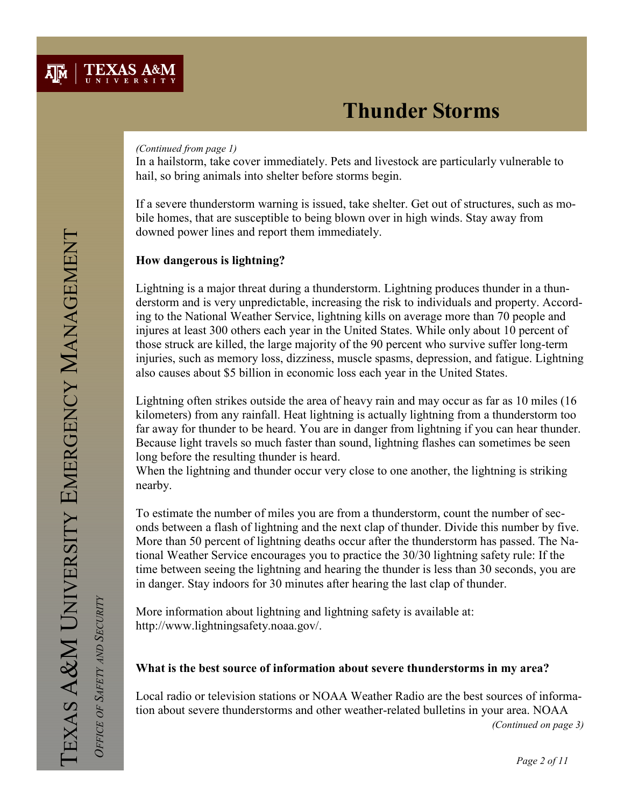#### (Continued from page 1)

In a hailstorm, take cover immediately. Pets and livestock are particularly vulnerable to hail, so bring animals into shelter before storms begin.

If a severe thunderstorm warning is issued, take shelter. Get out of structures, such as mobile homes, that are susceptible to being blown over in high winds. Stay away from downed power lines and report them immediately.

## How dangerous is lightning?

Lightning is a major threat during a thunderstorm. Lightning produces thunder in a thunderstorm and is very unpredictable, increasing the risk to individuals and property. According to the National Weather Service, lightning kills on average more than 70 people and injures at least 300 others each year in the United States. While only about 10 percent of those struck are killed, the large majority of the 90 percent who survive suffer long-term injuries, such as memory loss, dizziness, muscle spasms, depression, and fatigue. Lightning also causes about \$5 billion in economic loss each year in the United States.

Lightning often strikes outside the area of heavy rain and may occur as far as 10 miles (16 kilometers) from any rainfall. Heat lightning is actually lightning from a thunderstorm too far away for thunder to be heard. You are in danger from lightning if you can hear thunder. Because light travels so much faster than sound, lightning flashes can sometimes be seen long before the resulting thunder is heard.

When the lightning and thunder occur very close to one another, the lightning is striking nearby.

To estimate the number of miles you are from a thunderstorm, count the number of seconds between a flash of lightning and the next clap of thunder. Divide this number by five. More than 50 percent of lightning deaths occur after the thunderstorm has passed. The National Weather Service encourages you to practice the 30/30 lightning safety rule: If the time between seeing the lightning and hearing the thunder is less than 30 seconds, you are in danger. Stay indoors for 30 minutes after hearing the last clap of thunder.

More information about lightning and lightning safety is available at: http://www.lightningsafety.noaa.gov/.

## What is the best source of information about severe thunderstorms in my area?

Local radio or television stations or NOAA Weather Radio are the best sources of information about severe thunderstorms and other weather-related bulletins in your area. NOAA

(Continued on page 3)

OFFICE OF SAFETY AND SECURITY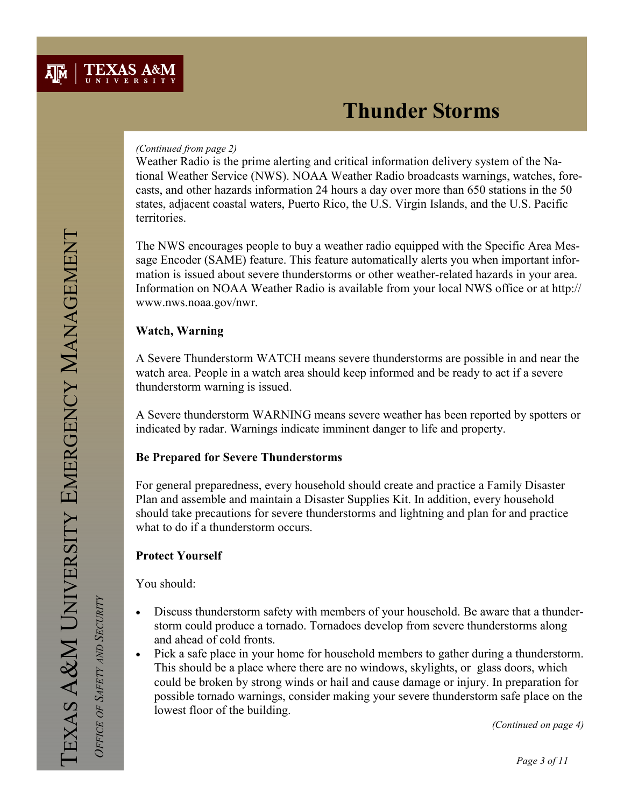### (Continued from page 2)

Weather Radio is the prime alerting and critical information delivery system of the National Weather Service (NWS). NOAA Weather Radio broadcasts warnings, watches, forecasts, and other hazards information 24 hours a day over more than 650 stations in the 50 states, adjacent coastal waters, Puerto Rico, the U.S. Virgin Islands, and the U.S. Pacific territories.

The NWS encourages people to buy a weather radio equipped with the Specific Area Message Encoder (SAME) feature. This feature automatically alerts you when important information is issued about severe thunderstorms or other weather-related hazards in your area. Information on NOAA Weather Radio is available from your local NWS office or at http:// www.nws.noaa.gov/nwr.

## Watch, Warning

A Severe Thunderstorm WATCH means severe thunderstorms are possible in and near the watch area. People in a watch area should keep informed and be ready to act if a severe thunderstorm warning is issued.

A Severe thunderstorm WARNING means severe weather has been reported by spotters or indicated by radar. Warnings indicate imminent danger to life and property.

## Be Prepared for Severe Thunderstorms

For general preparedness, every household should create and practice a Family Disaster Plan and assemble and maintain a Disaster Supplies Kit. In addition, every household should take precautions for severe thunderstorms and lightning and plan for and practice what to do if a thunderstorm occurs.

## Protect Yourself

You should:

- Discuss thunderstorm safety with members of your household. Be aware that a thunderstorm could produce a tornado. Tornadoes develop from severe thunderstorms along and ahead of cold fronts.
- Pick a safe place in your home for household members to gather during a thunderstorm. This should be a place where there are no windows, skylights, or glass doors, which could be broken by strong winds or hail and cause damage or injury. In preparation for possible tornado warnings, consider making your severe thunderstorm safe place on the lowest floor of the building.

(Continued on page 4)

OFFICE OF SAFETY AND SECURITY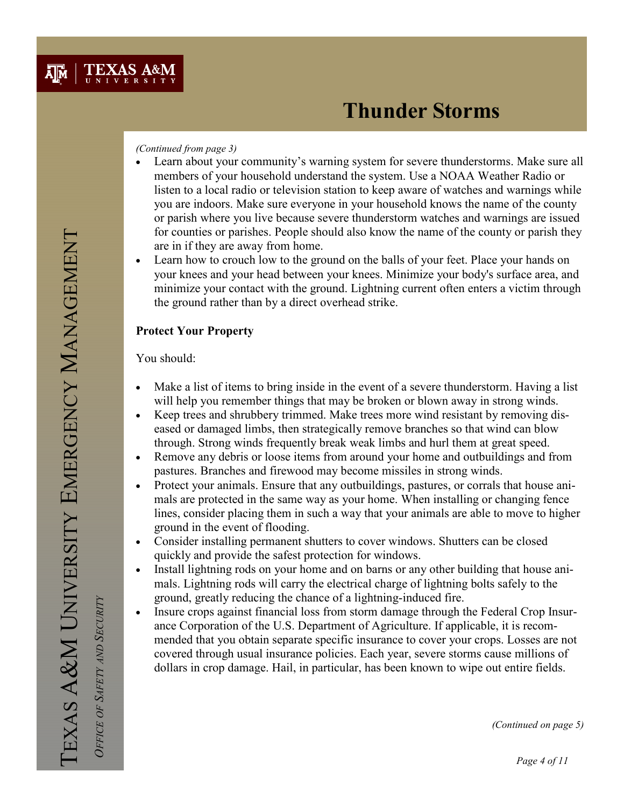#### (Continued from page 3)

- Learn about your community's warning system for severe thunderstorms. Make sure all members of your household understand the system. Use a NOAA Weather Radio or listen to a local radio or television station to keep aware of watches and warnings while you are indoors. Make sure everyone in your household knows the name of the county or parish where you live because severe thunderstorm watches and warnings are issued for counties or parishes. People should also know the name of the county or parish they are in if they are away from home.
- Learn how to crouch low to the ground on the balls of your feet. Place your hands on your knees and your head between your knees. Minimize your body's surface area, and minimize your contact with the ground. Lightning current often enters a victim through the ground rather than by a direct overhead strike.

## Protect Your Property

You should:

- Make a list of items to bring inside in the event of a severe thunderstorm. Having a list will help you remember things that may be broken or blown away in strong winds.
- Keep trees and shrubbery trimmed. Make trees more wind resistant by removing diseased or damaged limbs, then strategically remove branches so that wind can blow through. Strong winds frequently break weak limbs and hurl them at great speed.
- Remove any debris or loose items from around your home and outbuildings and from pastures. Branches and firewood may become missiles in strong winds.
- Protect your animals. Ensure that any outbuildings, pastures, or corrals that house animals are protected in the same way as your home. When installing or changing fence lines, consider placing them in such a way that your animals are able to move to higher ground in the event of flooding.
- Consider installing permanent shutters to cover windows. Shutters can be closed quickly and provide the safest protection for windows.
- Install lightning rods on your home and on barns or any other building that house animals. Lightning rods will carry the electrical charge of lightning bolts safely to the ground, greatly reducing the chance of a lightning-induced fire.
- Insure crops against financial loss from storm damage through the Federal Crop Insurance Corporation of the U.S. Department of Agriculture. If applicable, it is recommended that you obtain separate specific insurance to cover your crops. Losses are not covered through usual insurance policies. Each year, severe storms cause millions of dollars in crop damage. Hail, in particular, has been known to wipe out entire fields.

TEXAS A&M UNIVERSITY EMERGENCY MANAGEMENT EXAS A&M UNIVERSITY EMERGENCY MANAGEMENT

OFFICE OF SAFETY AND SECURITY OFFICE OF SAFETY AND SECURITY

(Continued on page 5)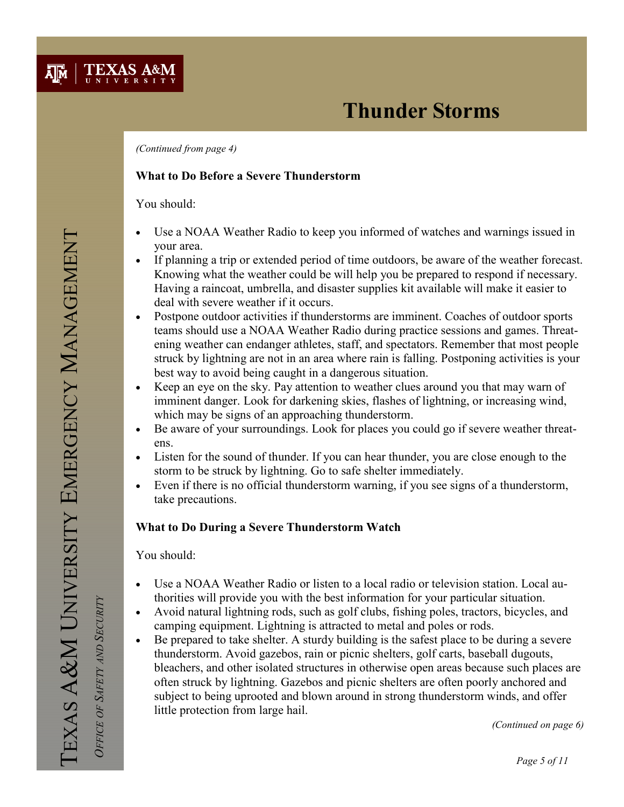

(Continued from page 4)

### What to Do Before a Severe Thunderstorm

You should:

- Use a NOAA Weather Radio to keep you informed of watches and warnings issued in your area.
- If planning a trip or extended period of time outdoors, be aware of the weather forecast. Knowing what the weather could be will help you be prepared to respond if necessary. Having a raincoat, umbrella, and disaster supplies kit available will make it easier to deal with severe weather if it occurs.
- Postpone outdoor activities if thunderstorms are imminent. Coaches of outdoor sports teams should use a NOAA Weather Radio during practice sessions and games. Threatening weather can endanger athletes, staff, and spectators. Remember that most people struck by lightning are not in an area where rain is falling. Postponing activities is your best way to avoid being caught in a dangerous situation.
- Keep an eye on the sky. Pay attention to weather clues around you that may warn of imminent danger. Look for darkening skies, flashes of lightning, or increasing wind, which may be signs of an approaching thunderstorm.
- Be aware of your surroundings. Look for places you could go if severe weather threatens.
- Listen for the sound of thunder. If you can hear thunder, you are close enough to the storm to be struck by lightning. Go to safe shelter immediately.
- Even if there is no official thunderstorm warning, if you see signs of a thunderstorm, take precautions.

### What to Do During a Severe Thunderstorm Watch

You should:

- Use a NOAA Weather Radio or listen to a local radio or television station. Local authorities will provide you with the best information for your particular situation.
- Avoid natural lightning rods, such as golf clubs, fishing poles, tractors, bicycles, and camping equipment. Lightning is attracted to metal and poles or rods.
- Be prepared to take shelter. A sturdy building is the safest place to be during a severe thunderstorm. Avoid gazebos, rain or picnic shelters, golf carts, baseball dugouts, bleachers, and other isolated structures in otherwise open areas because such places are often struck by lightning. Gazebos and picnic shelters are often poorly anchored and subject to being uprooted and blown around in strong thunderstorm winds, and offer little protection from large hail.

(Continued on page 6)

OFFICE OF SAFETY AND SECURITY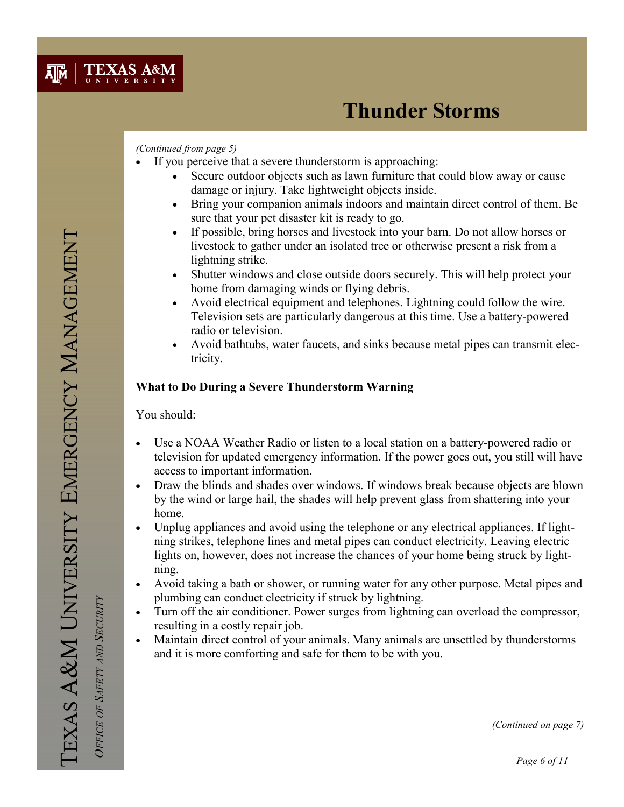

#### (Continued from page 5)

- If you perceive that a severe thunderstorm is approaching:
	- Secure outdoor objects such as lawn furniture that could blow away or cause damage or injury. Take lightweight objects inside.
	- Bring your companion animals indoors and maintain direct control of them. Be sure that your pet disaster kit is ready to go.
	- If possible, bring horses and livestock into your barn. Do not allow horses or livestock to gather under an isolated tree or otherwise present a risk from a lightning strike.
	- Shutter windows and close outside doors securely. This will help protect your home from damaging winds or flying debris.
	- Avoid electrical equipment and telephones. Lightning could follow the wire. Television sets are particularly dangerous at this time. Use a battery-powered radio or television.
	- Avoid bathtubs, water faucets, and sinks because metal pipes can transmit electricity.

#### What to Do During a Severe Thunderstorm Warning

You should:

- Use a NOAA Weather Radio or listen to a local station on a battery-powered radio or television for updated emergency information. If the power goes out, you still will have access to important information.
- Draw the blinds and shades over windows. If windows break because objects are blown by the wind or large hail, the shades will help prevent glass from shattering into your home.
- Unplug appliances and avoid using the telephone or any electrical appliances. If lightning strikes, telephone lines and metal pipes can conduct electricity. Leaving electric lights on, however, does not increase the chances of your home being struck by lightning.
- Avoid taking a bath or shower, or running water for any other purpose. Metal pipes and plumbing can conduct electricity if struck by lightning.
- Turn off the air conditioner. Power surges from lightning can overload the compressor, resulting in a costly repair job.
- Maintain direct control of your animals. Many animals are unsettled by thunderstorms and it is more comforting and safe for them to be with you.

OFFICE OF SAFETY AND SECURITY

OFFICE OF SAFETY AND SECURITY

(Continued on page 7)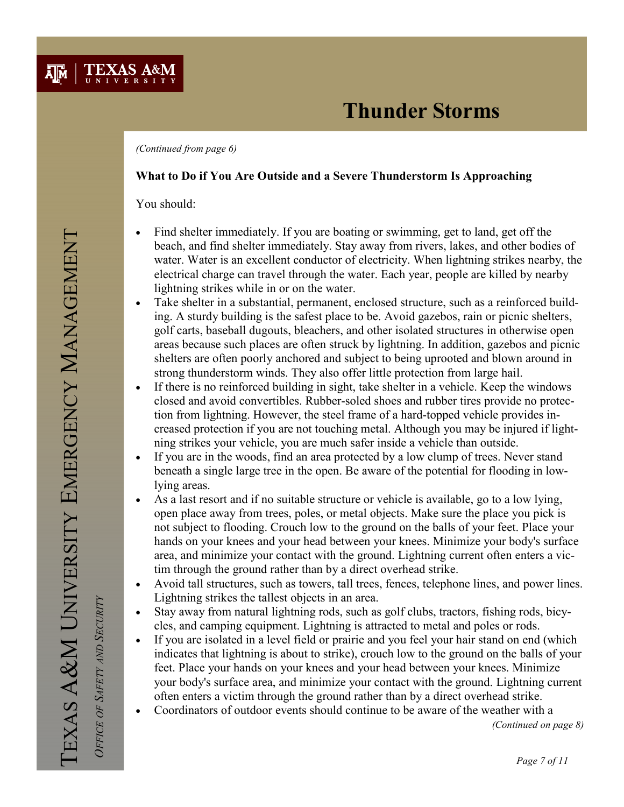(Continued from page 6)

### What to Do if You Are Outside and a Severe Thunderstorm Is Approaching

You should:

**TEXAS A&M** 

 $\lambda$ <sub>M</sub>

- Find shelter immediately. If you are boating or swimming, get to land, get off the beach, and find shelter immediately. Stay away from rivers, lakes, and other bodies of water. Water is an excellent conductor of electricity. When lightning strikes nearby, the electrical charge can travel through the water. Each year, people are killed by nearby lightning strikes while in or on the water.
- Take shelter in a substantial, permanent, enclosed structure, such as a reinforced building. A sturdy building is the safest place to be. Avoid gazebos, rain or picnic shelters, golf carts, baseball dugouts, bleachers, and other isolated structures in otherwise open areas because such places are often struck by lightning. In addition, gazebos and picnic shelters are often poorly anchored and subject to being uprooted and blown around in strong thunderstorm winds. They also offer little protection from large hail.
- If there is no reinforced building in sight, take shelter in a vehicle. Keep the windows closed and avoid convertibles. Rubber-soled shoes and rubber tires provide no protection from lightning. However, the steel frame of a hard-topped vehicle provides increased protection if you are not touching metal. Although you may be injured if lightning strikes your vehicle, you are much safer inside a vehicle than outside.
- If you are in the woods, find an area protected by a low clump of trees. Never stand beneath a single large tree in the open. Be aware of the potential for flooding in lowlying areas.
- As a last resort and if no suitable structure or vehicle is available, go to a low lying, open place away from trees, poles, or metal objects. Make sure the place you pick is not subject to flooding. Crouch low to the ground on the balls of your feet. Place your hands on your knees and your head between your knees. Minimize your body's surface area, and minimize your contact with the ground. Lightning current often enters a victim through the ground rather than by a direct overhead strike.
- Avoid tall structures, such as towers, tall trees, fences, telephone lines, and power lines. Lightning strikes the tallest objects in an area.
- Stay away from natural lightning rods, such as golf clubs, tractors, fishing rods, bicycles, and camping equipment. Lightning is attracted to metal and poles or rods.
- If you are isolated in a level field or prairie and you feel your hair stand on end (which indicates that lightning is about to strike), crouch low to the ground on the balls of your feet. Place your hands on your knees and your head between your knees. Minimize your body's surface area, and minimize your contact with the ground. Lightning current often enters a victim through the ground rather than by a direct overhead strike.
- Coordinators of outdoor events should continue to be aware of the weather with a

(Continued on page 8)

OFFICE OF SAFETY AND SECURITY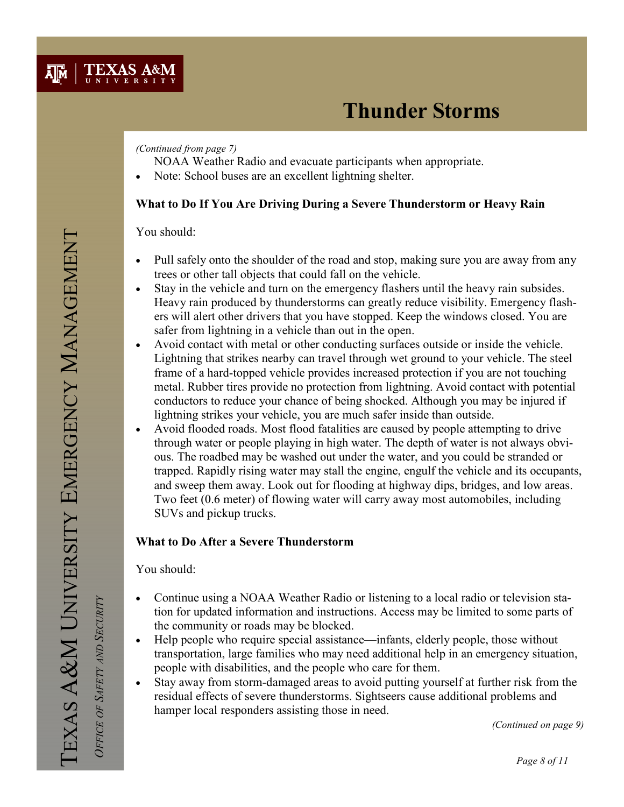### (Continued from page 7)

NOAA Weather Radio and evacuate participants when appropriate.

Note: School buses are an excellent lightning shelter.

## What to Do If You Are Driving During a Severe Thunderstorm or Heavy Rain

You should:

- Pull safely onto the shoulder of the road and stop, making sure you are away from any trees or other tall objects that could fall on the vehicle.
- Stay in the vehicle and turn on the emergency flashers until the heavy rain subsides. Heavy rain produced by thunderstorms can greatly reduce visibility. Emergency flashers will alert other drivers that you have stopped. Keep the windows closed. You are safer from lightning in a vehicle than out in the open.
- Avoid contact with metal or other conducting surfaces outside or inside the vehicle. Lightning that strikes nearby can travel through wet ground to your vehicle. The steel frame of a hard-topped vehicle provides increased protection if you are not touching metal. Rubber tires provide no protection from lightning. Avoid contact with potential conductors to reduce your chance of being shocked. Although you may be injured if lightning strikes your vehicle, you are much safer inside than outside.
- Avoid flooded roads. Most flood fatalities are caused by people attempting to drive through water or people playing in high water. The depth of water is not always obvious. The roadbed may be washed out under the water, and you could be stranded or trapped. Rapidly rising water may stall the engine, engulf the vehicle and its occupants, and sweep them away. Look out for flooding at highway dips, bridges, and low areas. Two feet (0.6 meter) of flowing water will carry away most automobiles, including SUVs and pickup trucks.

## What to Do After a Severe Thunderstorm

You should:

- Continue using a NOAA Weather Radio or listening to a local radio or television station for updated information and instructions. Access may be limited to some parts of the community or roads may be blocked.
- Help people who require special assistance—infants, elderly people, those without transportation, large families who may need additional help in an emergency situation, people with disabilities, and the people who care for them.
- Stay away from storm-damaged areas to avoid putting yourself at further risk from the residual effects of severe thunderstorms. Sightseers cause additional problems and hamper local responders assisting those in need.

(Continued on page 9)

OFFICE OF SAFETY AND SECURITY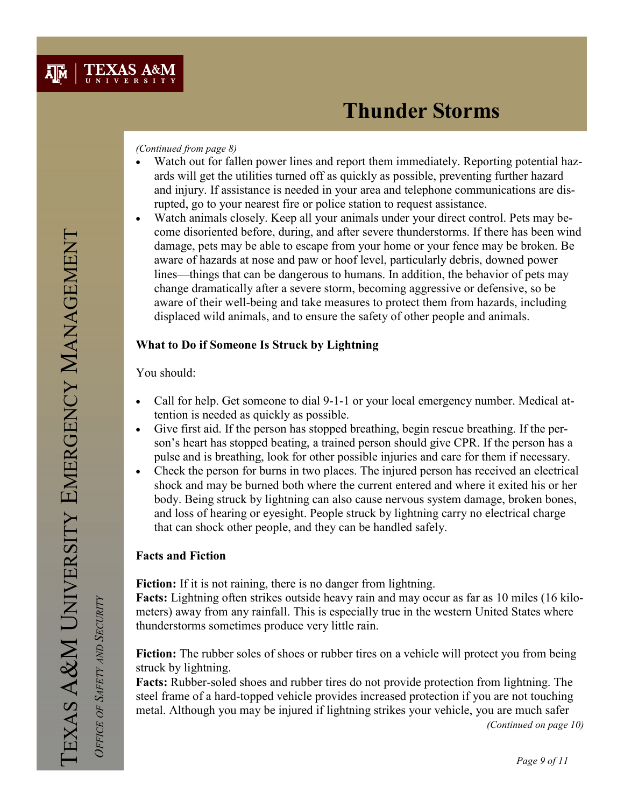#### (Continued from page 8)

- Watch out for fallen power lines and report them immediately. Reporting potential hazards will get the utilities turned off as quickly as possible, preventing further hazard and injury. If assistance is needed in your area and telephone communications are disrupted, go to your nearest fire or police station to request assistance.
- Watch animals closely. Keep all your animals under your direct control. Pets may become disoriented before, during, and after severe thunderstorms. If there has been wind damage, pets may be able to escape from your home or your fence may be broken. Be aware of hazards at nose and paw or hoof level, particularly debris, downed power lines—things that can be dangerous to humans. In addition, the behavior of pets may change dramatically after a severe storm, becoming aggressive or defensive, so be aware of their well-being and take measures to protect them from hazards, including displaced wild animals, and to ensure the safety of other people and animals.

### What to Do if Someone Is Struck by Lightning

You should:

- Call for help. Get someone to dial 9-1-1 or your local emergency number. Medical attention is needed as quickly as possible.
- Give first aid. If the person has stopped breathing, begin rescue breathing. If the person's heart has stopped beating, a trained person should give CPR. If the person has a pulse and is breathing, look for other possible injuries and care for them if necessary.
- Check the person for burns in two places. The injured person has received an electrical shock and may be burned both where the current entered and where it exited his or her body. Being struck by lightning can also cause nervous system damage, broken bones, and loss of hearing or eyesight. People struck by lightning carry no electrical charge that can shock other people, and they can be handled safely.

## Facts and Fiction

Fiction: If it is not raining, there is no danger from lightning.

Facts: Lightning often strikes outside heavy rain and may occur as far as 10 miles (16 kilometers) away from any rainfall. This is especially true in the western United States where thunderstorms sometimes produce very little rain.

Fiction: The rubber soles of shoes or rubber tires on a vehicle will protect you from being struck by lightning.

Facts: Rubber-soled shoes and rubber tires do not provide protection from lightning. The steel frame of a hard-topped vehicle provides increased protection if you are not touching metal. Although you may be injured if lightning strikes your vehicle, you are much safer

(Continued on page 10)

OFFICE OF SAFETY AND SECURITY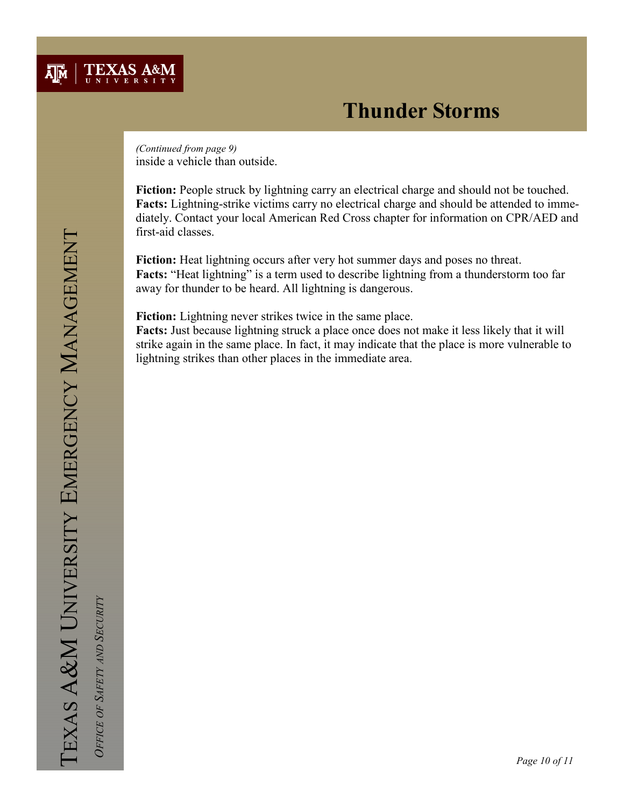

inside a vehicle than outside. (Continued from page 9)

Fiction: People struck by lightning carry an electrical charge and should not be touched. Facts: Lightning-strike victims carry no electrical charge and should be attended to immediately. Contact your local American Red Cross chapter for information on CPR/AED and first-aid classes.

Fiction: Heat lightning occurs after very hot summer days and poses no threat. Facts: "Heat lightning" is a term used to describe lightning from a thunderstorm too far away for thunder to be heard. All lightning is dangerous.

Fiction: Lightning never strikes twice in the same place.

Facts: Just because lightning struck a place once does not make it less likely that it will strike again in the same place. In fact, it may indicate that the place is more vulnerable to lightning strikes than other places in the immediate area.

OFFICE OF SAFETY AND SECURITY OFFICE OF SAFETY AND SECURITY